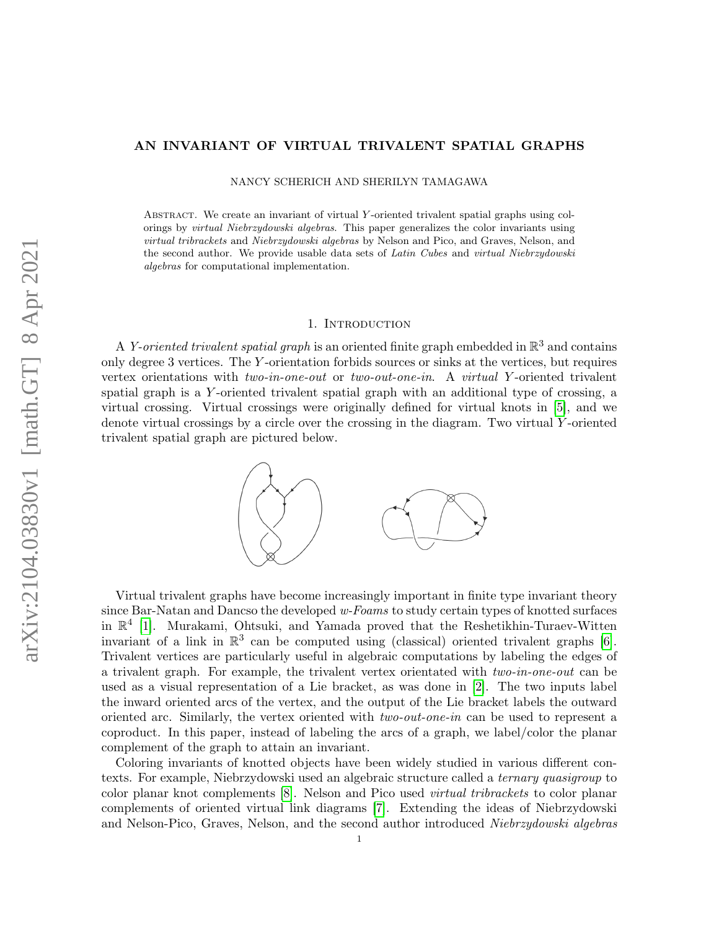### AN INVARIANT OF VIRTUAL TRIVALENT SPATIAL GRAPHS

NANCY SCHERICH AND SHERILYN TAMAGAWA

Abstract. We create an invariant of virtual Y -oriented trivalent spatial graphs using colorings by virtual Niebrzydowski algebras. This paper generalizes the color invariants using virtual tribrackets and Niebrzydowski algebras by Nelson and Pico, and Graves, Nelson, and the second author. We provide usable data sets of Latin Cubes and virtual Niebrzydowski algebras for computational implementation.

#### 1. INTRODUCTION

A Y-oriented trivalent spatial graph is an oriented finite graph embedded in  $\mathbb{R}^3$  and contains only degree 3 vertices. The Y -orientation forbids sources or sinks at the vertices, but requires vertex orientations with two-in-one-out or two-out-one-in. A virtual Y -oriented trivalent spatial graph is a Y -oriented trivalent spatial graph with an additional type of crossing, a virtual crossing. Virtual crossings were originally defined for virtual knots in [\[5\]](#page-7-0), and we denote virtual crossings by a circle over the crossing in the diagram. Two virtual  $Y$ -oriented trivalent spatial graph are pictured below.



Virtual trivalent graphs have become increasingly important in finite type invariant theory since Bar-Natan and Dancso the developed w-Foams to study certain types of knotted surfaces in R 4 [\[1\]](#page-7-1). Murakami, Ohtsuki, and Yamada proved that the Reshetikhin-Turaev-Witten invariant of a link in  $\mathbb{R}^3$  can be computed using (classical) oriented trivalent graphs [\[6\]](#page-7-2). Trivalent vertices are particularly useful in algebraic computations by labeling the edges of a trivalent graph. For example, the trivalent vertex orientated with two-in-one-out can be used as a visual representation of a Lie bracket, as was done in [\[2\]](#page-7-3). The two inputs label the inward oriented arcs of the vertex, and the output of the Lie bracket labels the outward oriented arc. Similarly, the vertex oriented with two-out-one-in can be used to represent a coproduct. In this paper, instead of labeling the arcs of a graph, we label/color the planar complement of the graph to attain an invariant.

Coloring invariants of knotted objects have been widely studied in various different contexts. For example, Niebrzydowski used an algebraic structure called a ternary quasigroup to color planar knot complements [\[8\]](#page-7-4). Nelson and Pico used virtual tribrackets to color planar complements of oriented virtual link diagrams [\[7\]](#page-7-5). Extending the ideas of Niebrzydowski and Nelson-Pico, Graves, Nelson, and the second author introduced Niebrzydowski algebras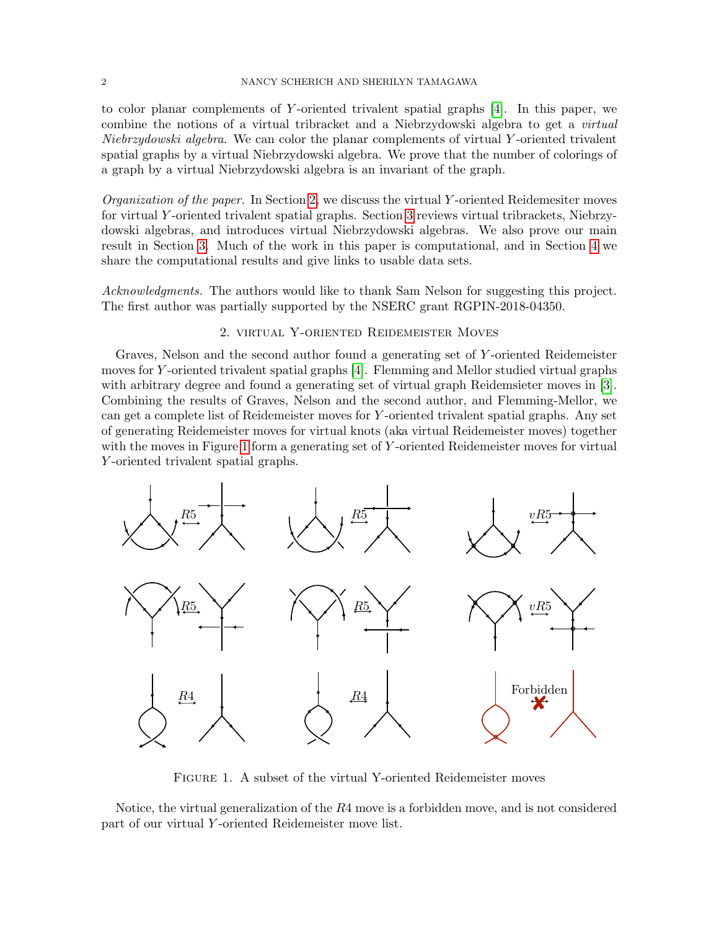### 2 NANCY SCHERICH AND SHERILYN TAMAGAWA

to color planar complements of Y-oriented trivalent spatial graphs  $[4]$ . In this paper, we combine the notions of a virtual tribracket and a Niebrzydowski algebra to get a virtual Niebrzydowski algebra. We can color the planar complements of virtual Y -oriented trivalent spatial graphs by a virtual Niebrzydowski algebra. We prove that the number of colorings of a graph by a virtual Niebrzydowski algebra is an invariant of the graph.

*Organization of the paper.* In Section [2,](#page-1-0) we discuss the virtual Y-oriented Reidemesiter moves for virtual Y -oriented trivalent spatial graphs. Section [3](#page-2-0) reviews virtual tribrackets, Niebrzydowski algebras, and introduces virtual Niebrzydowski algebras. We also prove our main result in Section [3.](#page-2-0) Much of the work in this paper is computational, and in Section [4](#page-5-0) we share the computational results and give links to usable data sets.

Acknowledgments. The authors would like to thank Sam Nelson for suggesting this project. The first author was partially supported by the NSERC grant RGPIN-2018-04350.

# 2. virtual Y-oriented Reidemeister Moves

<span id="page-1-0"></span>Graves, Nelson and the second author found a generating set of Y -oriented Reidemeister moves for Y -oriented trivalent spatial graphs [\[4\]](#page-7-6). Flemming and Mellor studied virtual graphs with arbitrary degree and found a generating set of virtual graph Reidemsieter moves in [\[3\]](#page-7-7). Combining the results of Graves, Nelson and the second author, and Flemming-Mellor, we can get a complete list of Reidemeister moves for Y -oriented trivalent spatial graphs. Any set of generating Reidemeister moves for virtual knots (aka virtual Reidemeister moves) together with the moves in Figure [1](#page-1-1) form a generating set of Y-oriented Reidemeister moves for virtual Y -oriented trivalent spatial graphs.

<span id="page-1-1"></span>

FIGURE 1. A subset of the virtual Y-oriented Reidemeister moves

Notice, the virtual generalization of the R4 move is a forbidden move, and is not considered part of our virtual Y -oriented Reidemeister move list.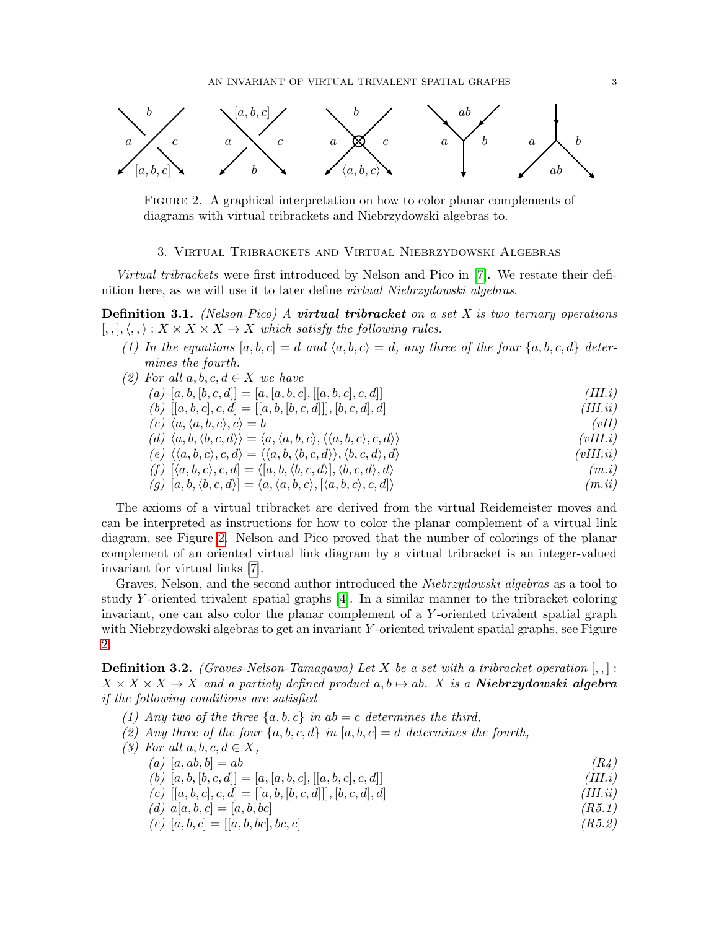<span id="page-2-1"></span>

Figure 2. A graphical interpretation on how to color planar complements of diagrams with virtual tribrackets and Niebrzydowski algebras to.

# 3. Virtual Tribrackets and Virtual Niebrzydowski Algebras

<span id="page-2-0"></span>Virtual tribrackets were first introduced by Nelson and Pico in [\[7\]](#page-7-5). We restate their definition here, as we will use it to later define virtual Niebrzydowski algebras.

<span id="page-2-2"></span>**Definition 3.1.** (Nelson-Pico) A **virtual tribracket** on a set X is two ternary operations  $[,,], \langle , , \rangle : X \times X \times X \to X$  which satisfy the following rules.

- (1) In the equations  $[a, b, c] = d$  and  $\langle a, b, c \rangle = d$ , any three of the four  $\{a, b, c, d\}$  determines the fourth.
- (2) For all  $a, b, c, d \in X$  we have
	- (a)  $[a, b, [b, c, d]] = [a, [a, b, c], [[a, b, c], c, d]]$  (III.i) (b)  $[[a, b, c], c, d] = [[a, b, [b, c, d]]], [b, c, d], d]$  (III.ii)  $(c) \langle a, \langle a, b, c \rangle, c \rangle = b$  (vII) (d)  $\langle a, b, \langle b, c, d \rangle \rangle = \langle a, \langle a, b, c \rangle, \langle \langle a, b, c \rangle, c, d \rangle$  (vIII.i) (e)  $\langle \langle a, b, c \rangle, c, d \rangle = \langle \langle a, b, \langle b, c, d \rangle, \langle b, c, d \rangle, d \rangle$  (vIII.ii) (f)  $[\langle a, b, c \rangle, c, d] = \langle [a, b, \langle b, c, d \rangle], \langle b, c, d \rangle, d \rangle$  (m.i)
	- (g)  $[a, b, \langle b, c, d \rangle] = \langle a, \langle a, b, c \rangle, [\langle a, b, c \rangle, c, d] \rangle$  (m.ii)

The axioms of a virtual tribracket are derived from the virtual Reidemeister moves and can be interpreted as instructions for how to color the planar complement of a virtual link diagram, see Figure [2.](#page-2-1) Nelson and Pico proved that the number of colorings of the planar complement of an oriented virtual link diagram by a virtual tribracket is an integer-valued invariant for virtual links [\[7\]](#page-7-5).

Graves, Nelson, and the second author introduced the *Niebrzydowski algebras* as a tool to study Y -oriented trivalent spatial graphs [\[4\]](#page-7-6). In a similar manner to the tribracket coloring invariant, one can also color the planar complement of a Y -oriented trivalent spatial graph with Niebrzydowski algebras to get an invariant Y-oriented trivalent spatial graphs, see Figure [2.](#page-2-1)

<span id="page-2-3"></span>**Definition 3.2.** (Graves-Nelson-Tamagawa) Let X be a set with a tribracket operation  $[,$  $X \times X \times X \rightarrow X$  and a partialy defined product a,  $b \mapsto ab$ . X is a **Niebrzydowski algebra** if the following conditions are satisfied

- (1) Any two of the three  $\{a, b, c\}$  in ab  $=c$  determines the third,
- (2) Any three of the four  $\{a, b, c, d\}$  in  $[a, b, c] = d$  determines the fourth,

| (3) For all $a, b, c, d \in X$ ,                            |          |
|-------------------------------------------------------------|----------|
| $(a)$ [a, ab, b] = ab                                       | (R4)     |
| (b) $[a, b, [b, c, d]] = [a, [a, b, c], [[a, b, c], c, d]]$ | (III.i)  |
| (c) $[a, b, c], c, d] = [[a, b, [b, c, d]]], [b, c, d], d]$ | (III.ii) |
| (d) $a[a, b, c] = [a, b, bc]$                               | (R5.1)   |
| (e) $[a, b, c] = [[a, b, bc], bc, c]$                       | (R5.2)   |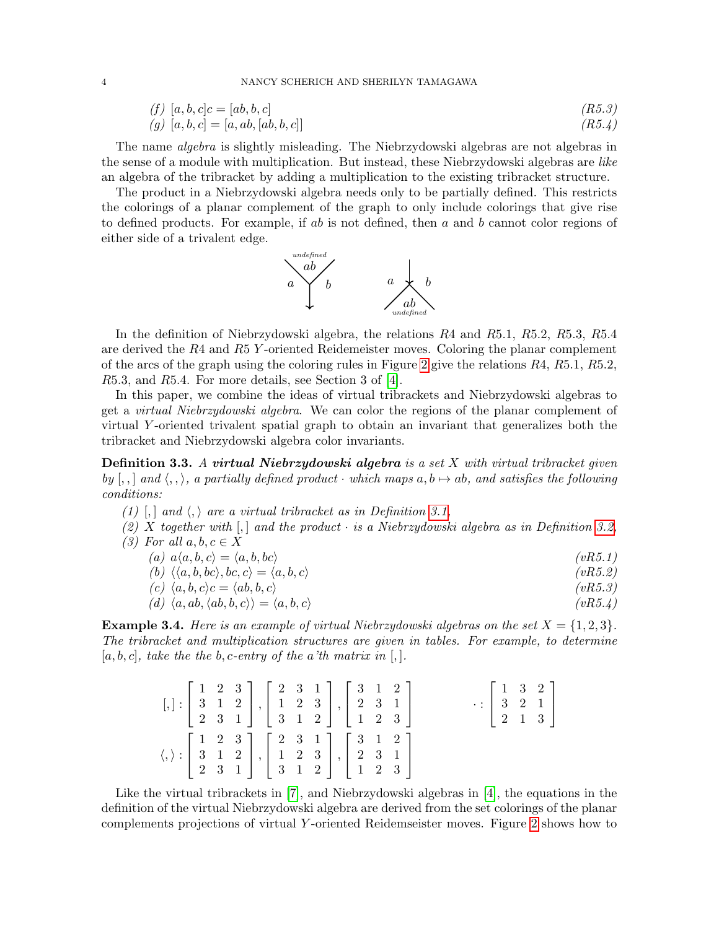#### 4 NANCY SCHERICH AND SHERILYN TAMAGAWA

(f) 
$$
[a, b, c]c = [ab, b, c]
$$
  
\n(g)  $[a, b, c] = [a, ab, [ab, b, c]]$   
\n(R5.3)  
\n(R5.4)

The name algebra is slightly misleading. The Niebrzydowski algebras are not algebras in the sense of a module with multiplication. But instead, these Niebrzydowski algebras are like an algebra of the tribracket by adding a multiplication to the existing tribracket structure.

The product in a Niebrzydowski algebra needs only to be partially defined. This restricts the colorings of a planar complement of the graph to only include colorings that give rise to defined products. For example, if  $ab$  is not defined, then  $a$  and  $b$  cannot color regions of either side of a trivalent edge.



In the definition of Niebrzydowski algebra, the relations R4 and R5.1, R5.2, R5.3, R5.4 are derived the R4 and R5 Y -oriented Reidemeister moves. Coloring the planar complement of the arcs of the graph using the coloring rules in Figure [2](#page-2-1) give the relations  $R_4$ ,  $R_5$ ,  $R_5$ ,  $R_5$ ,  $R_5$ ,  $R_5$ ,  $R_5$ R5.3, and R5.4. For more details, see Section 3 of [\[4\]](#page-7-6).

In this paper, we combine the ideas of virtual tribrackets and Niebrzydowski algebras to get a virtual Niebrzydowski algebra. We can color the regions of the planar complement of virtual Y -oriented trivalent spatial graph to obtain an invariant that generalizes both the tribracket and Niebrzydowski algebra color invariants.

**Definition 3.3.** A virtual Niebrzydowski algebra is a set  $X$  with virtual tribracket given by  $[, ,\]$  and  $\langle , ,\rangle$ , a partially defined product · which maps  $a, b \mapsto ab$ , and satisfies the following conditions:

- (1) [,] and  $\langle$ ,  $\rangle$  are a virtual tribracket as in Definition [3.1,](#page-2-2)
- (2) X together with  $\vert , \vert$  and the product  $\cdot$  is a Niebrzydowski algebra as in Definition [3.2,](#page-2-3)
- (3) For all  $a, b, c \in X$ 
	- (a)  $a\langle a, b, c \rangle = \langle a, b, bc \rangle$  (vR5.1)
	- (b)  $\langle \langle a, b, bc \rangle, bc, c \rangle = \langle a, b, c \rangle$  (vR5.2)
	- (c)  $\langle a, b, c \rangle c = \langle ab, b, c \rangle$  (vR5.3)
	- (d)  $\langle a, ab, \langle ab, b, c \rangle \rangle = \langle a, b, c \rangle$  (vR5.4)

<span id="page-3-0"></span>**Example 3.4.** Here is an example of virtual Niebrzydowski algebras on the set  $X = \{1, 2, 3\}$ . The tribracket and multiplication structures are given in tables. For example, to determine  $[a, b, c]$ , take the the b, c-entry of the a'th matrix in [,].

|  |  |  | $[,]:\left[\begin{array}{ccc} 1 & 2 & 3 \\ 3 & 1 & 2 \\ 2 & 3 & 1 \end{array}\right],\left[\begin{array}{ccc} 2 & 3 & 1 \\ 1 & 2 & 3 \\ 3 & 1 & 2 \end{array}\right],\left[\begin{array}{ccc} 3 & 1 & 2 \\ 2 & 3 & 1 \\ 1 & 2 & 3 \end{array}\right]$                |  |  |  | $\cdot : \left[ \begin{array}{ccc} 1 & 3 & 2 \\ 3 & 2 & 1 \\ 2 & 1 & 3 \end{array} \right]$ |  |
|--|--|--|----------------------------------------------------------------------------------------------------------------------------------------------------------------------------------------------------------------------------------------------------------------------|--|--|--|---------------------------------------------------------------------------------------------|--|
|  |  |  | $\langle,\rangle:\left[\begin{array}{cccc} 1 & 2 & 3 \\ 3 & 1 & 2 \\ 2 & 3 & 1 \end{array}\right],\left[\begin{array}{cccc} 2 & 3 & 1 \\ 1 & 2 & 3 \\ 3 & 1 & 2 \end{array}\right],\left[\begin{array}{cccc} 3 & 1 & 2 \\ 2 & 3 & 1 \\ 1 & 2 & 3 \end{array}\right]$ |  |  |  |                                                                                             |  |

Like the virtual tribrackets in [\[7\]](#page-7-5), and Niebrzydowski algebras in [\[4\]](#page-7-6), the equations in the definition of the virtual Niebrzydowski algebra are derived from the set colorings of the planar complements projections of virtual Y -oriented Reidemseister moves. Figure [2](#page-2-1) shows how to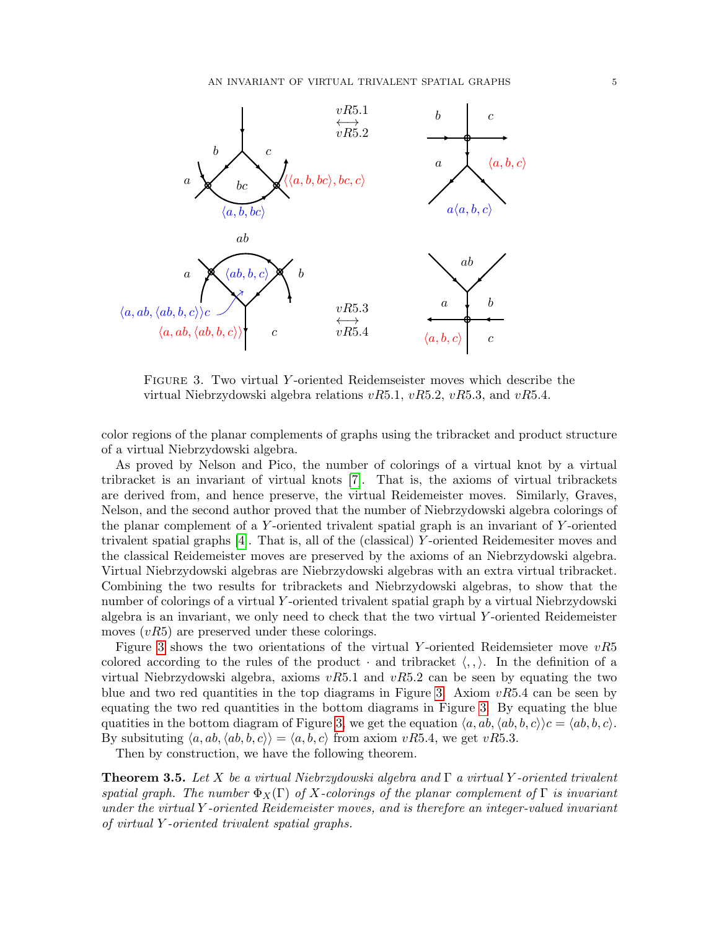<span id="page-4-0"></span>

Figure 3. Two virtual Y -oriented Reidemseister moves which describe the virtual Niebrzydowski algebra relations  $vR5.1, vR5.2, vR5.3$ , and  $vR5.4$ .

color regions of the planar complements of graphs using the tribracket and product structure of a virtual Niebrzydowski algebra.

As proved by Nelson and Pico, the number of colorings of a virtual knot by a virtual tribracket is an invariant of virtual knots [\[7\]](#page-7-5). That is, the axioms of virtual tribrackets are derived from, and hence preserve, the virtual Reidemeister moves. Similarly, Graves, Nelson, and the second author proved that the number of Niebrzydowski algebra colorings of the planar complement of a Y-oriented trivalent spatial graph is an invariant of Y-oriented trivalent spatial graphs [\[4\]](#page-7-6). That is, all of the (classical) Y -oriented Reidemesiter moves and the classical Reidemeister moves are preserved by the axioms of an Niebrzydowski algebra. Virtual Niebrzydowski algebras are Niebrzydowski algebras with an extra virtual tribracket. Combining the two results for tribrackets and Niebrzydowski algebras, to show that the number of colorings of a virtual Y -oriented trivalent spatial graph by a virtual Niebrzydowski algebra is an invariant, we only need to check that the two virtual Y -oriented Reidemeister moves  $(vR5)$  are preserved under these colorings.

Figure [3](#page-4-0) shows the two orientations of the virtual Y-oriented Reidemsieter move  $vR5$ colored according to the rules of the product  $\cdot$  and tribracket  $\langle , , \rangle$ . In the definition of a virtual Niebrzydowski algebra, axioms  $vR5.1$  and  $vR5.2$  can be seen by equating the two blue and two red quantities in the top diagrams in Figure [3.](#page-4-0) Axiom  $vR5.4$  can be seen by equating the two red quantities in the bottom diagrams in Figure [3.](#page-4-0) By equating the blue quatities in the bottom diagram of Figure [3,](#page-4-0) we get the equation  $\langle a, ab, \langle ab, b, c \rangle \rangle_c = \langle ab, b, c \rangle$ . By subsituting  $\langle a, ab, \langle ab, b, c \rangle \rangle = \langle a, b, c \rangle$  from axiom vR5.4, we get vR5.3.

Then by construction, we have the following theorem.

**Theorem 3.5.** Let X be a virtual Niebrzydowski algebra and  $\Gamma$  a virtual Y-oriented trivalent spatial graph. The number  $\Phi_X(\Gamma)$  of X-colorings of the planar complement of  $\Gamma$  is invariant under the virtual Y -oriented Reidemeister moves, and is therefore an integer-valued invariant of virtual Y -oriented trivalent spatial graphs.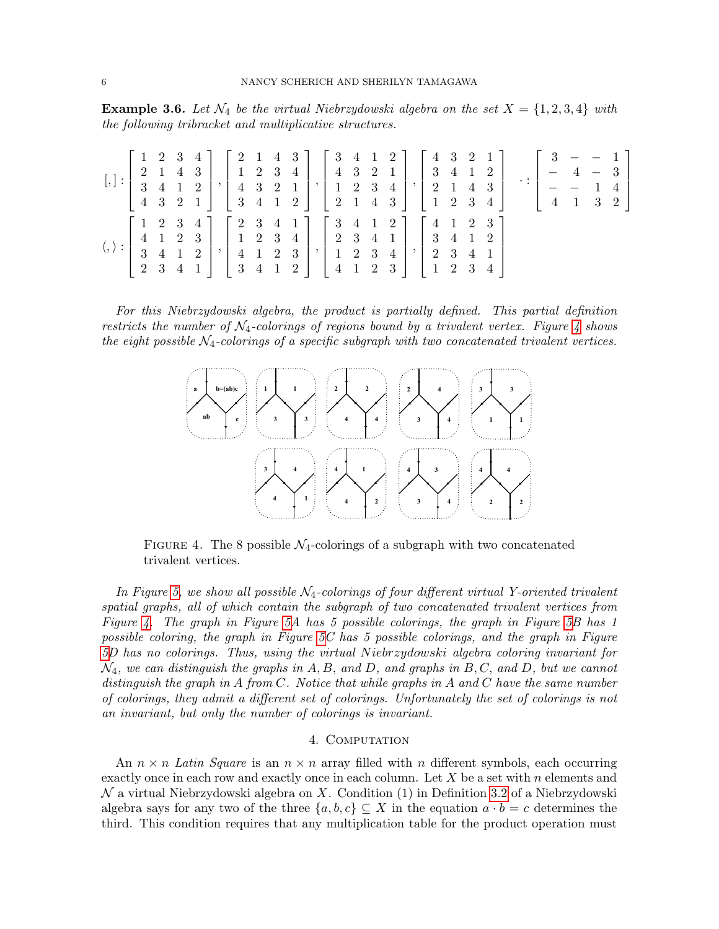**Example 3.6.** Let  $\mathcal{N}_4$  be the virtual Niebrzydowski algebra on the set  $X = \{1, 2, 3, 4\}$  with the following tribracket and multiplicative structures.

|                                                                                                                                                                                                                                                                                                                                                                                                       |  |  |  |  |  |  |  |  |  | $[,]:\left[\begin{array}{cccc c}1&2&3&4\\2&1&4&3\\3&4&1&2\\4&3&2&1\end{array}\right],\left[\begin{array}{cccc c}2&1&4&3\\1&2&3&4\\4&3&2&1\\3&4&1&2\end{array}\right],\left[\begin{array}{cccc c}3&4&1&2\\4&3&2&1\\1&2&3&4\\2&1&4&3\end{array}\right],\left[\begin{array}{cccc c}4&3&2&1\\3&4&1&2\\2&1&4&3\\1&2&3&4\end{array}\right]\;\cdot:\left[\begin{array}{cccc c}3&-&-&1\\-&4$ |  |  |  |
|-------------------------------------------------------------------------------------------------------------------------------------------------------------------------------------------------------------------------------------------------------------------------------------------------------------------------------------------------------------------------------------------------------|--|--|--|--|--|--|--|--|--|--------------------------------------------------------------------------------------------------------------------------------------------------------------------------------------------------------------------------------------------------------------------------------------------------------------------------------------------------------------------------------------|--|--|--|
| $\langle,\rangle:\left[\begin{array}{cccc} 1 & 2 & 3 & 4 \\ 4 & 1 & 2 & 3 \\ 3 & 4 & 1 & 2 \end{array}\right],\left[\begin{array}{cccc} 2 & 3 & 4 & 1 \\ 1 & 2 & 3 & 4 \\ 4 & 1 & 2 & 3 \end{array}\right],\left[\begin{array}{cccc} 3 & 4 & 1 & 2 \\ 2 & 3 & 4 & 1 \\ 1 & 2 & 3 & 4 \end{array}\right],\left[\begin{array}{cccc} 4 & 1 & 2 & 3 \\ 3 & 4 & 1 & 2 \\ 2 & 3 & 4 & 1 \end{array}\right]$ |  |  |  |  |  |  |  |  |  |                                                                                                                                                                                                                                                                                                                                                                                      |  |  |  |

<span id="page-5-1"></span>For this Niebrzydowski algebra, the product is partially defined. This partial definition restricts the number of  $N_4$ -colorings of regions bound by a trivalent vertex. Figure [4](#page-5-1) shows the eight possible  $\mathcal{N}_4$ -colorings of a specific subgraph with two concatenated trivalent vertices.



FIGURE 4. The 8 possible  $\mathcal{N}_4$ -colorings of a subgraph with two concatenated trivalent vertices.

In Figure [5,](#page-6-0) we show all possible  $\mathcal{N}_4$ -colorings of four different virtual Y-oriented trivalent spatial graphs, all of which contain the subgraph of two concatenated trivalent vertices from Figure [4.](#page-5-1) The graph in Figure [5A](#page-6-0) has 5 possible colorings, the graph in Figure [5B](#page-6-0) has 1 possible coloring, the graph in Figure [5C](#page-6-0) has 5 possible colorings, and the graph in Figure [5D](#page-6-0) has no colorings. Thus, using the virtual N iebrzydowski algebra coloring invariant for  $\mathcal{N}_4$ , we can distinguish the graphs in A, B, and D, and graphs in B, C, and D, but we cannot distinguish the graph in  $A$  from  $C$ . Notice that while graphs in  $A$  and  $C$  have the same number of colorings, they admit a different set of colorings. Unfortunately the set of colorings is not an invariant, but only the number of colorings is invariant.

### 4. COMPUTATION

<span id="page-5-0"></span>An  $n \times n$  Latin Square is an  $n \times n$  array filled with n different symbols, each occurring exactly once in each row and exactly once in each column. Let  $X$  be a set with  $n$  elements and  $N$  a virtual Niebrzydowski algebra on X. Condition (1) in Definition [3.2](#page-2-3) of a Niebrzydowski algebra says for any two of the three  $\{a, b, c\} \subseteq X$  in the equation  $a \cdot b = c$  determines the third. This condition requires that any multiplication table for the product operation must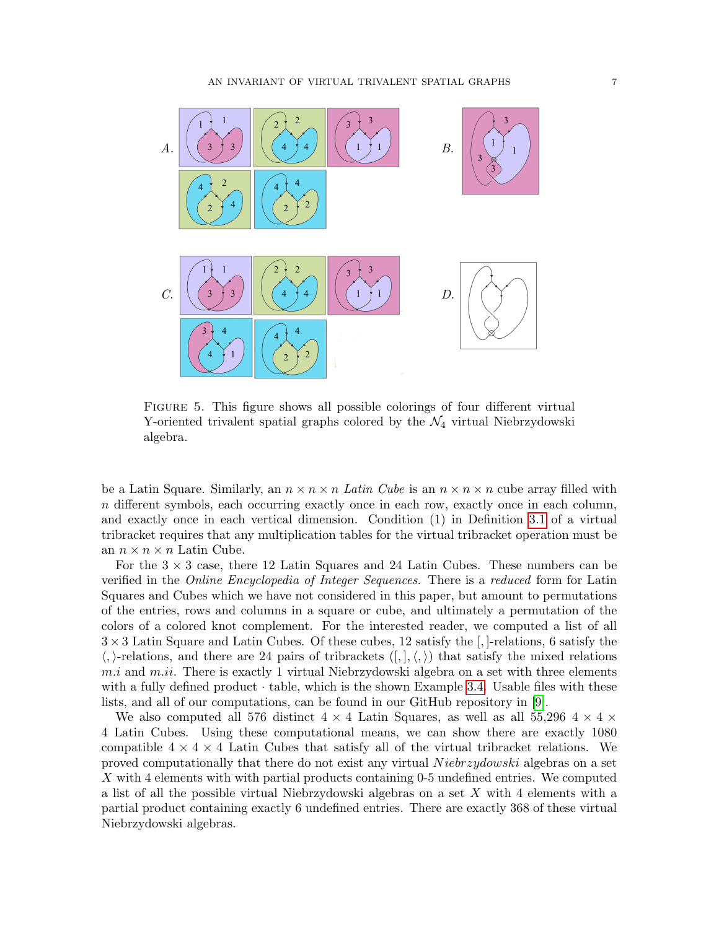<span id="page-6-0"></span>

Figure 5. This figure shows all possible colorings of four different virtual Y-oriented trivalent spatial graphs colored by the  $\mathcal{N}_4$  virtual Niebrzydowski algebra.

be a Latin Square. Similarly, an  $n \times n \times n$  Latin Cube is an  $n \times n \times n$  cube array filled with n different symbols, each occurring exactly once in each row, exactly once in each column, and exactly once in each vertical dimension. Condition (1) in Definition [3.1](#page-2-2) of a virtual tribracket requires that any multiplication tables for the virtual tribracket operation must be an  $n \times n \times n$  Latin Cube.

For the  $3 \times 3$  case, there 12 Latin Squares and 24 Latin Cubes. These numbers can be verified in the Online Encyclopedia of Integer Sequences. There is a reduced form for Latin Squares and Cubes which we have not considered in this paper, but amount to permutations of the entries, rows and columns in a square or cube, and ultimately a permutation of the colors of a colored knot complement. For the interested reader, we computed a list of all  $3 \times 3$  Latin Square and Latin Cubes. Of these cubes, 12 satisfy the [,]-relations, 6 satisfy the  $\langle$ ,  $\rangle$ -relations, and there are 24 pairs of tribrackets  $([, ], \langle , \rangle)$  that satisfy the mixed relations  $m.i$  and  $m.i$ . There is exactly 1 virtual Niebrzydowski algebra on a set with three elements with a fully defined product  $\cdot$  table, which is the shown Example [3.4.](#page-3-0) Usable files with these lists, and all of our computations, can be found in our GitHub repository in [\[9\]](#page-7-8).

We also computed all 576 distinct  $4 \times 4$  Latin Squares, as well as all 55,296  $4 \times 4 \times 4$ 4 Latin Cubes. Using these computational means, we can show there are exactly 1080 compatible  $4 \times 4 \times 4$  Latin Cubes that satisfy all of the virtual tribracket relations. We proved computationally that there do not exist any virtual Niebrzydowski algebras on a set X with 4 elements with with partial products containing 0-5 undefined entries. We computed a list of all the possible virtual Niebrzydowski algebras on a set X with 4 elements with a partial product containing exactly 6 undefined entries. There are exactly 368 of these virtual Niebrzydowski algebras.